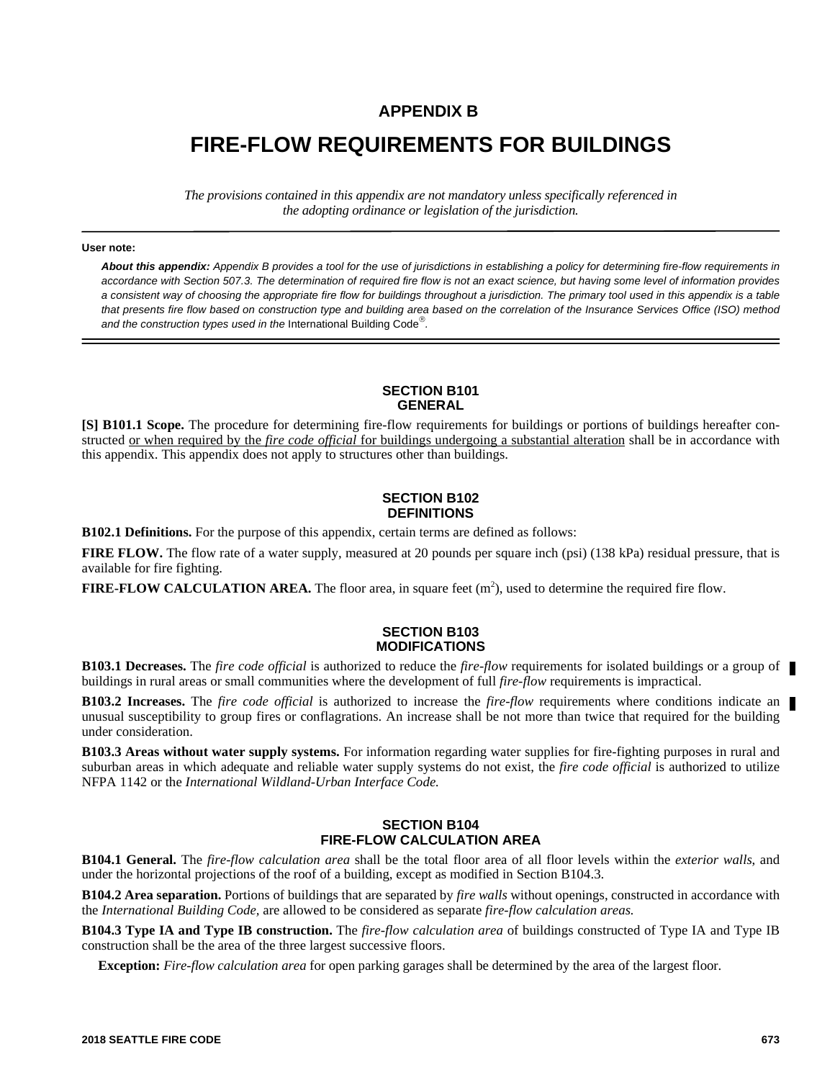## **APPENDIX B**

# **FIRE-FLOW REQUIREMENTS FOR BUILDINGS**

*The provisions contained in this appendix are not mandatory unless specifically referenced in the adopting ordinance or legislation of the jurisdiction.*

#### **User note:**

*About this appendix: Appendix B provides a tool for the use of jurisdictions in establishing a policy for determining fire-flow requirements in accordance with Section 507.3. The determination of required fire flow is not an exact science, but having some level of information provides a consistent way of choosing the appropriate fire flow for buildings throughout a jurisdiction. The primary tool used in this appendix is a table that presents fire flow based on construction type and building area based on the correlation of the Insurance Services Office (ISO) method* and the construction types used in the International Building Code<sup>®</sup>.

#### **SECTION B101 GENERAL**

**[S] B101.1 Scope.** The procedure for determining fire-flow requirements for buildings or portions of buildings hereafter constructed or when required by the *fire code official* for buildings undergoing a substantial alteration shall be in accordance with this appendix. This appendix does not apply to structures other than buildings.

#### **SECTION B102 DEFINITIONS**

**B102.1 Definitions.** For the purpose of this appendix, certain terms are defined as follows:

**FIRE FLOW.** The flow rate of a water supply, measured at 20 pounds per square inch (psi) (138 kPa) residual pressure, that is available for fire fighting.

**FIRE-FLOW CALCULATION AREA.** The floor area, in square feet  $(m^2)$ , used to determine the required fire flow.

### **SECTION B103 MODIFICATIONS**

**B103.1 Decreases.** The *fire code official* is authorized to reduce the *fire-flow* requirements for isolated buildings or a group of buildings in rural areas or small communities where the development of full *fire-flow* requirements is impractical.

**B103.2 Increases.** The *fire code official* is authorized to increase the *fire-flow* requirements where conditions indicate an unusual susceptibility to group fires or conflagrations. An increase shall be not more than twice that required for the building under consideration.

**B103.3 Areas without water supply systems.** For information regarding water supplies for fire-fighting purposes in rural and suburban areas in which adequate and reliable water supply systems do not exist, the *fire code official* is authorized to utilize NFPA 1142 or the *International Wildland-Urban Interface Code.*

#### **SECTION B104 FIRE-FLOW CALCULATION AREA**

**B104.1 General.** The *fire-flow calculation area* shall be the total floor area of all floor levels within the *exterior walls*, and under the horizontal projections of the roof of a building, except as modified in Section B104.3.

**B104.2 Area separation.** Portions of buildings that are separated by *fire walls* without openings, constructed in accordance with the *International Building Code,* are allowed to be considered as separate *fire-flow calculation areas.*

**B104.3 Type IA and Type IB construction.** The *fire-flow calculation area* of buildings constructed of Type IA and Type IB construction shall be the area of the three largest successive floors.

**Exception:** *Fire-flow calculation area* for open parking garages shall be determined by the area of the largest floor.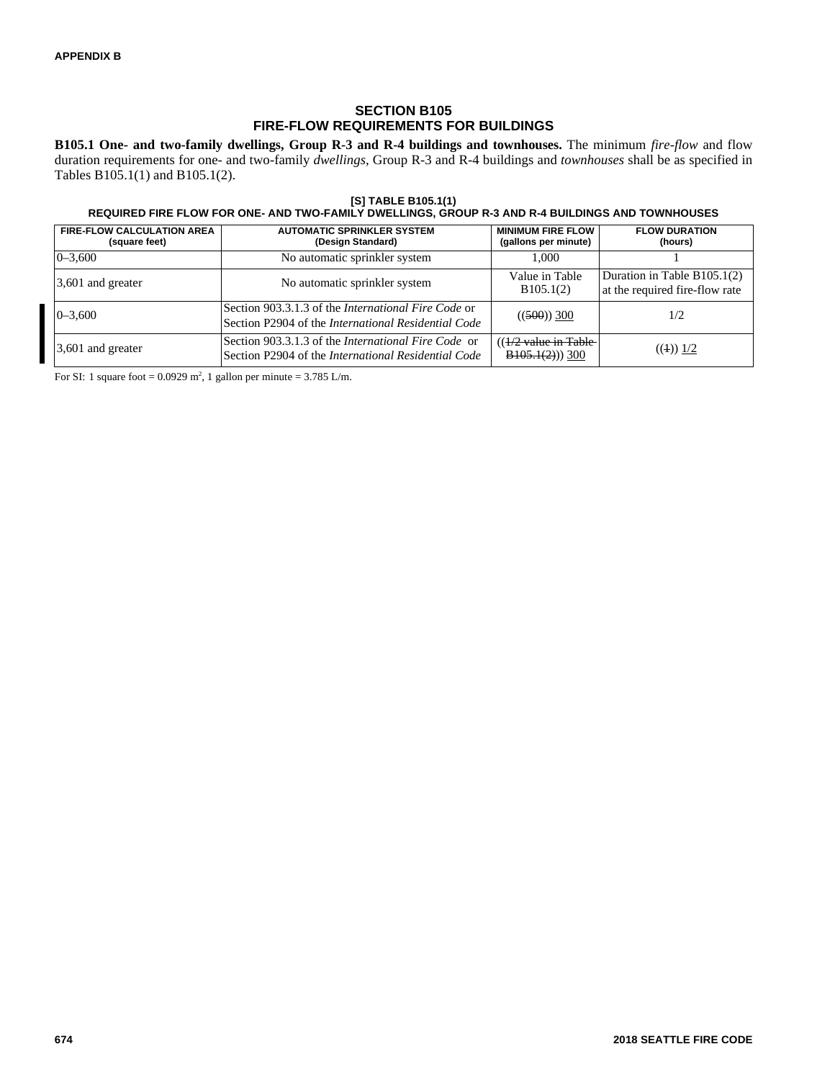## **SECTION B105 FIRE-FLOW REQUIREMENTS FOR BUILDINGS**

**B105.1 One- and two-family dwellings, Group R-3 and R-4 buildings and townhouses.** The minimum *fire-flow* and flow duration requirements for one- and two-family *dwellings*, Group R-3 and R-4 buildings and *townhouses* shall be as specified in Tables B105.1(1) and B105.1(2).

#### **[S] TABLE B105.1(1) REQUIRED FIRE FLOW FOR ONE- AND TWO-FAMILY DWELLINGS, GROUP R-3 AND R-4 BUILDINGS AND TOWNHOUSES**

| <b>FIRE-FLOW CALCULATION AREA</b><br>(square feet) | <b>AUTOMATIC SPRINKLER SYSTEM</b><br>(Design Standard)                                                            | <b>MINIMUM FIRE FLOW</b><br>(gallons per minute)    | <b>FLOW DURATION</b><br>(hours)                                 |
|----------------------------------------------------|-------------------------------------------------------------------------------------------------------------------|-----------------------------------------------------|-----------------------------------------------------------------|
| $0 - 3.600$                                        | No automatic sprinkler system                                                                                     | 1.000                                               |                                                                 |
| 3,601 and greater                                  | No automatic sprinkler system                                                                                     | Value in Table<br>B105.1(2)                         | Duration in Table $B105.1(2)$<br>at the required fire-flow rate |
| $0 - 3,600$                                        | Section 903.3.1.3 of the <i>International Fire Code</i> or<br>Section P2904 of the International Residential Code | $((500))$ 300                                       | 1/2                                                             |
| 3,601 and greater                                  | Section 903.3.1.3 of the <i>International Fire Code</i> or<br>Section P2904 of the International Residential Code | $((1/2 \text{ value in Table})$<br>$B105.1(2))$ 300 | $((1))$ 1/2                                                     |

For SI: 1 square foot =  $0.0929$  m<sup>2</sup>, 1 gallon per minute =  $3.785$  L/m.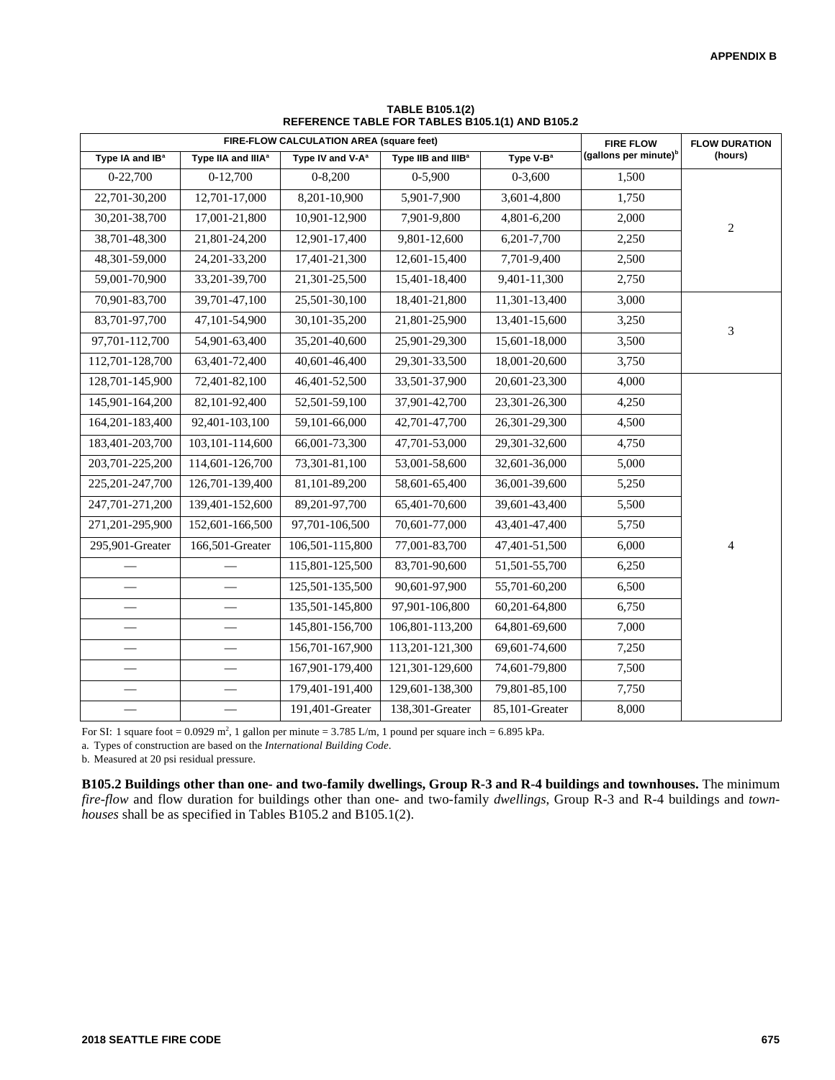| FIRE-FLOW CALCULATION AREA (square feet) |                                |                              | <b>FIRE FLOW</b>               | <b>FLOW DURATION</b>  |                                   |                |  |
|------------------------------------------|--------------------------------|------------------------------|--------------------------------|-----------------------|-----------------------------------|----------------|--|
| Type IA and IB <sup>a</sup>              | Type IIA and IIIA <sup>a</sup> | Type IV and V-A <sup>a</sup> | Type IIB and IIIB <sup>a</sup> | Type V-B <sup>a</sup> | (gallons per minute) <sup>b</sup> | (hours)        |  |
| 0-22,700                                 | $0-12,700$                     | $0 - 8,200$                  | $0-5,900$                      | $0 - 3,600$           | 1,500                             |                |  |
| 22,701-30,200                            | 12,701-17,000                  | 8,201-10,900                 | 5,901-7,900                    | 3,601-4,800           | 1,750                             |                |  |
| 30,201-38,700                            | 17,001-21,800                  | 10,901-12,900                | 7,901-9,800                    | 4,801-6,200           | 2,000                             | $\overline{2}$ |  |
| 38,701-48,300                            | 21,801-24,200                  | 12,901-17,400                | 9,801-12,600                   | 6,201-7,700           | 2,250                             |                |  |
| 48,301-59,000                            | 24, 201 - 33, 200              | 17,401-21,300                | 12,601-15,400                  | 7,701-9,400           | 2,500                             |                |  |
| 59,001-70,900                            | 33,201-39,700                  | 21,301-25,500                | 15,401-18,400                  | 9,401-11,300          | 2,750                             |                |  |
| 70,901-83,700                            | 39,701-47,100                  | 25,501-30,100                | 18,401-21,800                  | 11,301-13,400         | 3,000                             |                |  |
| 83,701-97,700                            | 47,101-54,900                  | 30,101-35,200                | 21,801-25,900                  | 13,401-15,600         | 3,250                             | 3              |  |
| 97,701-112,700                           | 54,901-63,400                  | 35,201-40,600                | 25,901-29,300                  | 15,601-18,000         | 3,500                             |                |  |
| 112,701-128,700                          | 63,401-72,400                  | 40,601-46,400                | 29,301-33,500                  | 18,001-20,600         | 3,750                             |                |  |
| 128,701-145,900                          | 72,401-82,100                  | 46,401-52,500                | 33,501-37,900                  | 20,601-23,300         | 4,000                             |                |  |
| 145,901-164,200                          | 82,101-92,400                  | 52,501-59,100                | 37,901-42,700                  | 23,301-26,300         | 4,250                             |                |  |
| 164, 201 - 183, 400                      | 92,401-103,100                 | 59,101-66,000                | 42,701-47,700                  | 26,301-29,300         | 4,500                             |                |  |
| 183,401-203,700                          | 103, 101-114, 600              | 66,001-73,300                | 47,701-53,000                  | 29,301-32,600         | 4,750                             |                |  |
| 203,701-225,200                          | 114,601-126,700                | 73,301-81,100                | 53,001-58,600                  | 32,601-36,000         | 5,000                             |                |  |
| 225, 201-247, 700                        | 126,701-139,400                | 81,101-89,200                | 58,601-65,400                  | 36,001-39,600         | 5,250                             |                |  |
| 247,701-271,200                          | 139,401-152,600                | 89,201-97,700                | 65,401-70,600                  | 39,601-43,400         | 5,500                             |                |  |
| 271,201-295,900                          | 152,601-166,500                | 97,701-106,500               | 70,601-77,000                  | 43,401-47,400         | 5,750                             |                |  |
| 295,901-Greater                          | 166,501-Greater                | 106,501-115,800              | 77,001-83,700                  | 47,401-51,500         | 6,000                             | $\overline{4}$ |  |
|                                          |                                | 115,801-125,500              | 83,701-90,600                  | 51,501-55,700         | 6,250                             |                |  |
|                                          |                                | 125,501-135,500              | 90,601-97,900                  | 55,701-60,200         | 6,500                             |                |  |
|                                          | $\overline{\phantom{0}}$       | 135,501-145,800              | 97,901-106,800                 | 60,201-64,800         | 6,750                             |                |  |
|                                          |                                | 145,801-156,700              | 106,801-113,200                | 64,801-69,600         | 7,000                             |                |  |
|                                          |                                | 156,701-167,900              | 113,201-121,300                | 69,601-74,600         | 7,250                             |                |  |
|                                          |                                | 167,901-179,400              | 121,301-129,600                | 74,601-79,800         | 7,500                             |                |  |
|                                          |                                | 179,401-191,400              | 129,601-138,300                | 79,801-85,100         | 7,750                             |                |  |
|                                          |                                | 191,401-Greater              | 138,301-Greater                | 85,101-Greater        | 8,000                             |                |  |

**TABLE B105.1(2) REFERENCE TABLE FOR TABLES B105.1(1) AND B105.2**

For SI: 1 square foot =  $0.0929$  m<sup>2</sup>, 1 gallon per minute =  $3.785$  L/m, 1 pound per square inch =  $6.895$  kPa.

a. Types of construction are based on the *International Building Code*.

b. Measured at 20 psi residual pressure.

**B105.2 Buildings other than one- and two-family dwellings, Group R-3 and R-4 buildings and townhouses.** The minimum *fire-flow* and flow duration for buildings other than one- and two-family *dwellings*, Group R-3 and R-4 buildings and *townhouses* shall be as specified in Tables B105.2 and B105.1(2).